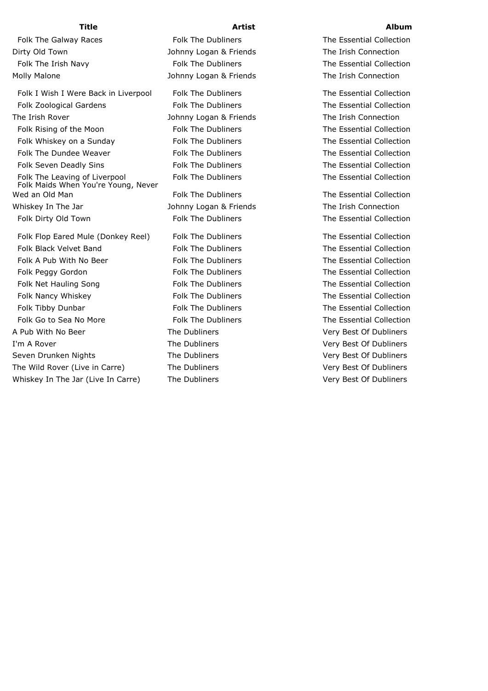Folk The Galway Races The States Folk The Dubliners The Essential Collection Dirty Old Town **The Irish Connection** Johnny Logan & Friends The Irish Connection

Folk I Wish I Were Back in Liverpool Folk The Dubliners The Essential Collection Folk Zoological Gardens Folk The Dubliners The Essential Collection The Irish Rover Johnny Logan & Friends The Irish Connection Folk Rising of the Moon Folk The Dubliners The Essential Collection Folk Whiskey on a Sunday The Dubliners The Essential Collection Folk The Dundee Weaver The External Collection Collection Folk The Dubliners The Essential Collection Folk Seven Deadly Sins Folk The Dubliners The Essential Collection Folk The Leaving of Liverpool Folk The Dubliners The Essential Collection Folk Maids When You're Young, Never Wed an Old Man The Stephen Folk The Dubliners The Essential Collection Whiskey In The Jar **Music Connection** Johnny Logan & Friends The Irish Connection Folk Dirty Old Town **Folk The Dubliners** The Essential Collection

Folk Flop Eared Mule (Donkey Reel) Folk The Dubliners The Essential Collection Folk Black Velvet Band Folk The Dubliners The Essential Collection Folk A Pub With No Beer **Folk The Dubliners** The Essential Collection Folk Peggy Gordon **Folk The Dubliners** The Essential Collection Folk Net Hauling Song The Bolk The Dubliners The Essential Collection Folk Nancy Whiskey **Folk The Dubliners** The Essential Collection Folk Tibby Dunbar **Folk The Dubliners** The Essential Collection Folk Go to Sea No More **Folk The Dubliners** The Essential Collection A Pub With No Beer The Dubliners The Dubliners Very Best Of Dubliners I'm A Rover **The Dubliners** The Dubliners Very Best Of Dubliners Seven Drunken Nights The Dubliners The Dubliners Very Best Of Dubliners The Wild Rover (Live in Carre) The Dubliners The The Dubliners Very Best Of Dubliners Whiskey In The Jar (Live In Carre) The Dubliners The Oubliners Very Best Of Dubliners

Folk The Irish Navy **Folk The Dubliners** The Essential Collection Molly Malone The Johnny Logan & Friends The Irish Connection

## **Title Artist Album**